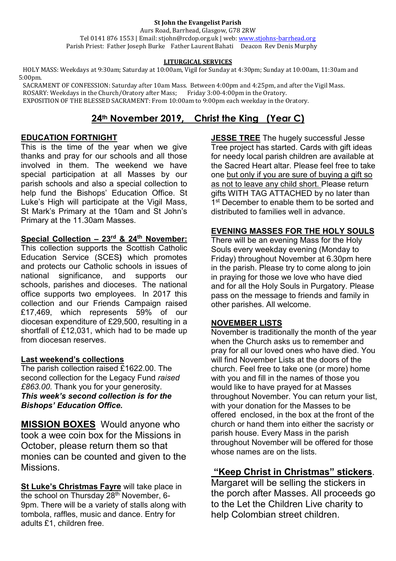#### **St John the Evangelist Parish**

Aurs Road, Barrhead, Glasgow, G78 2RW Tel 0141 876 1553 | Email: stjohn@rcdop.org.uk | web: [www.stjohns-barrhead.org](http://www.stjohns-barrhead.org/) Parish Priest: Father Joseph Burke Father Laurent Bahati Deacon Rev Denis Murphy

#### **LITURGICAL SERVICES**

 HOLY MASS: Weekdays at 9:30am; Saturday at 10:00am, Vigil for Sunday at 4:30pm; Sunday at 10:00am, 11:30am and 5:00pm.

 SACRAMENT OF CONFESSION: Saturday after 10am Mass. Between 4:00pm and 4:25pm, and after the Vigil Mass. ROSARY: Weekdays in the Church/Oratory after Mass; Friday 3:00-4:00pm in the Oratory. EXPOSITION OF THE BLESSED SACRAMENT: From 10:00am to 9:00pm each weekday in the Oratory.

# **24th November 2019, Christ the King (Year C)**

#### **EDUCATION FORTNIGHT**

This is the time of the year when we give thanks and pray for our schools and all those involved in them. The weekend we have special participation at all Masses by our parish schools and also a special collection to help fund the Bishops' Education Office. St Luke's High will participate at the Vigil Mass, St Mark's Primary at the 10am and St John's Primary at the 11.30am Masses.

## **Special Collection – 23rd & 24th November:**

This collection supports the Scottish Catholic Education Service (SCES**)** which promotes and protects our Catholic schools in issues of national significance, and supports our schools, parishes and dioceses. The national office supports two employees. In 2017 this collection and our Friends Campaign raised £17,469, which represents 59% of our diocesan expenditure of £29,500, resulting in a shortfall of £12,031, which had to be made up from diocesan reserves.

### **Last weekend's collections**

The parish collection raised £1622.00. The second collection for the Legacy Fund *raised £863.00*. Thank you for your generosity. *This week's second collection is for the Bishops' Education Office.*

**MISSION BOXES**Would anyone who took a wee coin box for the Missions in October, please return them so that monies can be counted and given to the Missions.

**St Luke's Christmas Fayre** will take place in the school on Thursday  $28<sup>th</sup>$  November, 6-9pm. There will be a variety of stalls along with tombola, raffles, music and dance. Entry for adults £1, children free.

**JESSE TREE** The hugely successful Jesse Tree project has started. Cards with gift ideas for needy local parish children are available at the Sacred Heart altar. Please feel free to take one but only if you are sure of buying a gift so as not to leave any child short. Please return gifts WITH TAG ATTACHED by no later than 1<sup>st</sup> December to enable them to be sorted and distributed to families well in advance.

### **EVENING MASSES FOR THE HOLY SOULS**

There will be an evening Mass for the Holy Souls every weekday evening (Monday to Friday) throughout November at 6.30pm here in the parish. Please try to come along to join in praying for those we love who have died and for all the Holy Souls in Purgatory. Please pass on the message to friends and family in other parishes. All welcome.

#### **NOVEMBER LISTS**

November is traditionally the month of the year when the Church asks us to remember and pray for all our loved ones who have died. You will find November Lists at the doors of the church. Feel free to take one (or more) home with you and fill in the names of those you would like to have prayed for at Masses throughout November. You can return your list, with your donation for the Masses to be offered enclosed, in the box at the front of the church or hand them into either the sacristy or parish house. Every Mass in the parish throughout November will be offered for those whose names are on the lists.

## **"Keep Christ in Christmas" stickers**.

Margaret will be selling the stickers in the porch after Masses. All proceeds go to the Let the Children Live charity to help Colombian street children.